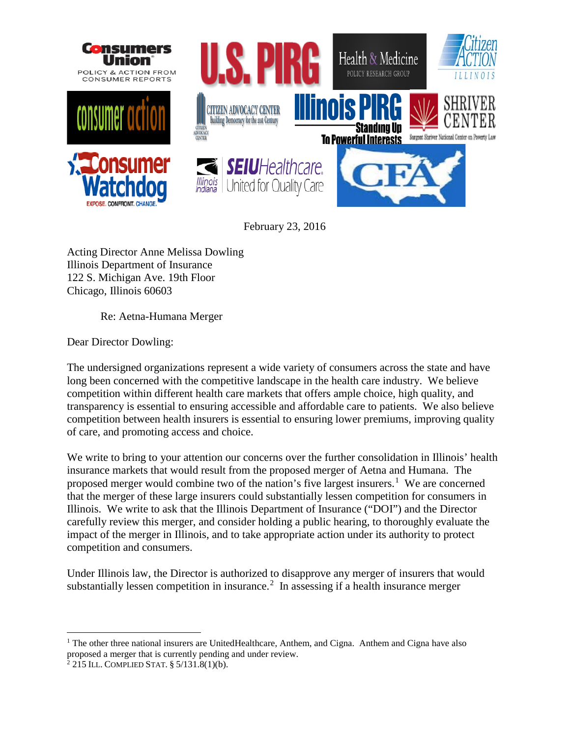

February 23, 2016

Acting Director Anne Melissa Dowling Illinois Department of Insurance 122 S. Michigan Ave. 19th Floor Chicago, Illinois 60603

Re: Aetna-Humana Merger

Dear Director Dowling:

The undersigned organizations represent a wide variety of consumers across the state and have long been concerned with the competitive landscape in the health care industry. We believe competition within different health care markets that offers ample choice, high quality, and transparency is essential to ensuring accessible and affordable care to patients. We also believe competition between health insurers is essential to ensuring lower premiums, improving quality of care, and promoting access and choice.

We write to bring to your attention our concerns over the further consolidation in Illinois' health insurance markets that would result from the proposed merger of Aetna and Humana. The proposed merger would combine two of the nation's five largest insurers.<sup>[1](#page-0-0)</sup> We are concerned that the merger of these large insurers could substantially lessen competition for consumers in Illinois. We write to ask that the Illinois Department of Insurance ("DOI") and the Director carefully review this merger, and consider holding a public hearing, to thoroughly evaluate the impact of the merger in Illinois, and to take appropriate action under its authority to protect competition and consumers.

Under Illinois law, the Director is authorized to disapprove any merger of insurers that would substantially lessen competition in insurance.<sup>[2](#page-0-1)</sup> In assessing if a health insurance merger

<span id="page-0-0"></span> $1$  The other three national insurers are UnitedHealthcare, Anthem, and Cigna. Anthem and Cigna have also proposed a merger that is currently pending and under review.

<span id="page-0-1"></span> $2$  215 ILL. COMPLIED STAT. § 5/131.8(1)(b).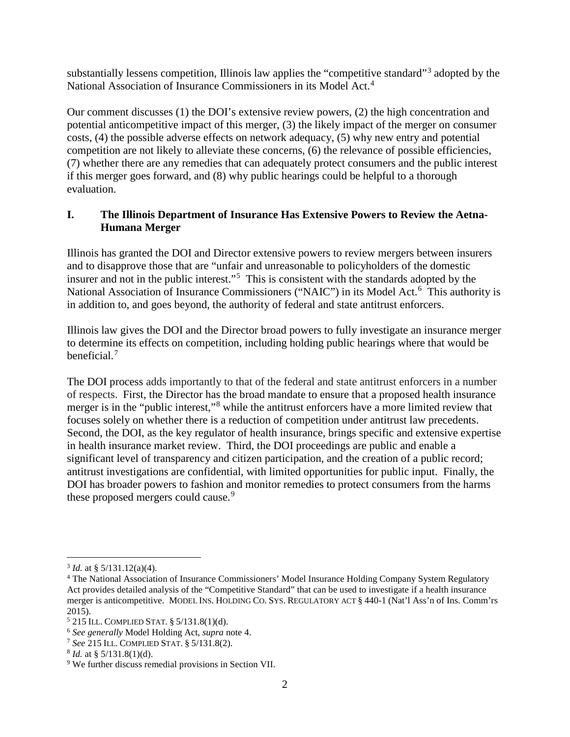substantially lessens competition, Illinois law applies the "competitive standard"[3](#page-1-0) adopted by the National Association of Insurance Commissioners in its Model Act.<sup>[4](#page-1-1)</sup>

Our comment discusses (1) the DOI's extensive review powers, (2) the high concentration and potential anticompetitive impact of this merger, (3) the likely impact of the merger on consumer costs, (4) the possible adverse effects on network adequacy, (5) why new entry and potential competition are not likely to alleviate these concerns, (6) the relevance of possible efficiencies, (7) whether there are any remedies that can adequately protect consumers and the public interest if this merger goes forward, and (8) why public hearings could be helpful to a thorough evaluation.

# **I. The Illinois Department of Insurance Has Extensive Powers to Review the Aetna-Humana Merger**

Illinois has granted the DOI and Director extensive powers to review mergers between insurers and to disapprove those that are "unfair and unreasonable to policyholders of the domestic insurer and not in the public interest."<sup>[5](#page-1-2)</sup> This is consistent with the standards adopted by the National Association of Insurance Commissioners ("NAIC") in its Model Act.<sup>[6](#page-1-3)</sup> This authority is in addition to, and goes beyond, the authority of federal and state antitrust enforcers.

Illinois law gives the DOI and the Director broad powers to fully investigate an insurance merger to determine its effects on competition, including holding public hearings where that would be beneficial.<sup>[7](#page-1-4)</sup>

The DOI process adds importantly to that of the federal and state antitrust enforcers in a number of respects. First, the Director has the broad mandate to ensure that a proposed health insurance merger is in the "public interest,"[8](#page-1-5) while the antitrust enforcers have a more limited review that focuses solely on whether there is a reduction of competition under antitrust law precedents. Second, the DOI, as the key regulator of health insurance, brings specific and extensive expertise in health insurance market review. Third, the DOI proceedings are public and enable a significant level of transparency and citizen participation, and the creation of a public record; antitrust investigations are confidential, with limited opportunities for public input. Finally, the DOI has broader powers to fashion and monitor remedies to protect consumers from the harms these proposed mergers could cause.<sup>[9](#page-1-6)</sup>

<span id="page-1-0"></span> $3$  *Id.* at § 5/131.12(a)(4).

<span id="page-1-1"></span><sup>4</sup> The National Association of Insurance Commissioners' Model Insurance Holding Company System Regulatory Act provides detailed analysis of the "Competitive Standard" that can be used to investigate if a health insurance merger is anticompetitive. MODEL INS. HOLDING CO. SYS. REGULATORY ACT § 440-1 (Nat'l Ass'n of Ins. Comm'rs 2015).

<span id="page-1-2"></span><sup>5</sup> 215 ILL. COMPLIED STAT. § 5/131.8(1)(d).

<span id="page-1-3"></span><sup>6</sup> *See generally* Model Holding Act, *supra* note 4.

<span id="page-1-4"></span><sup>&</sup>lt;sup>7</sup> *See* 215 ILL. COMPLIED STAT. § 5/131.8(2).<br><sup>8</sup> *Id.* at § 5/131.8(1)(d).

<span id="page-1-5"></span>

<span id="page-1-6"></span><sup>&</sup>lt;sup>9</sup> We further discuss remedial provisions in Section VII.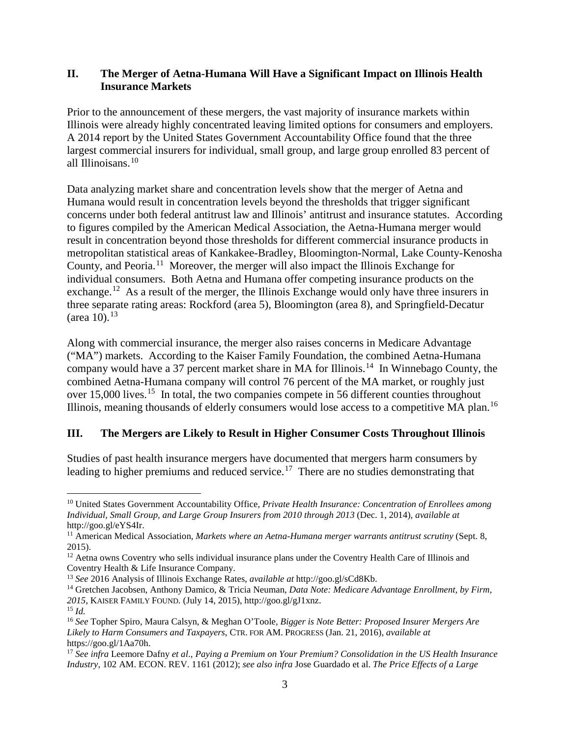### **II. The Merger of Aetna-Humana Will Have a Significant Impact on Illinois Health Insurance Markets**

Prior to the announcement of these mergers, the vast majority of insurance markets within Illinois were already highly concentrated leaving limited options for consumers and employers. A 2014 report by the United States Government Accountability Office found that the three largest commercial insurers for individual, small group, and large group enrolled 83 percent of all Illinoisans. [10](#page-2-0)

Data analyzing market share and concentration levels show that the merger of Aetna and Humana would result in concentration levels beyond the thresholds that trigger significant concerns under both federal antitrust law and Illinois' antitrust and insurance statutes. According to figures compiled by the American Medical Association, the Aetna-Humana merger would result in concentration beyond those thresholds for different commercial insurance products in metropolitan statistical areas of Kankakee-Bradley, Bloomington-Normal, Lake County-Kenosha County, and Peoria. [11](#page-2-1) Moreover, the merger will also impact the Illinois Exchange for individual consumers. Both Aetna and Humana offer competing insurance products on the exchange.<sup>[12](#page-2-2)</sup> As a result of the merger, the Illinois Exchange would only have three insurers in three separate rating areas: Rockford (area 5), Bloomington (area 8), and Springfield-Decatur  $(\text{area } 10).^{13}$  $(\text{area } 10).^{13}$  $(\text{area } 10).^{13}$ 

Along with commercial insurance, the merger also raises concerns in Medicare Advantage ("MA") markets. According to the Kaiser Family Foundation, the combined Aetna-Humana company would have a 37 percent market share in MA for Illinois.<sup>[14](#page-2-4)</sup> In Winnebago County, the combined Aetna-Humana company will control 76 percent of the MA market, or roughly just over 15,000 lives.<sup>15</sup> In total, the two companies compete in 56 different counties throughout Illinois, meaning thousands of elderly consumers would lose access to a competitive MA plan.[16](#page-2-6)

## **III. The Mergers are Likely to Result in Higher Consumer Costs Throughout Illinois**

Studies of past health insurance mergers have documented that mergers harm consumers by leading to higher premiums and reduced service.<sup>[17](#page-2-7)</sup> There are no studies demonstrating that

<span id="page-2-0"></span> <sup>10</sup> United States Government Accountability Office, *Private Health Insurance: Concentration of Enrollees among Individual, Small Group, and Large Group Insurers from 2010 through 2013* (Dec. 1, 2014), *available at*  http://goo.gl/eYS4Ir.

<span id="page-2-1"></span><sup>11</sup> American Medical Association, *Markets where an Aetna-Humana merger warrants antitrust scrutiny* (Sept. 8, 2015).

<span id="page-2-2"></span><sup>&</sup>lt;sup>12</sup> Aetna owns Coventry who sells individual insurance plans under the Coventry Health Care of Illinois and Coventry Health  $\&$  Life Insurance Company.

<span id="page-2-3"></span><sup>&</sup>lt;sup>13</sup> See 2016 Analysis of Illinois Exchange Rates, *available at* http://goo.gl/sCd8Kb.

<span id="page-2-4"></span><sup>14</sup> Gretchen Jacobsen, Anthony Damico, & Tricia Neuman, *Data Note: Medicare Advantage Enrollment, by Firm, 2015*, KAISER FAMILY FOUND. (July 14, 2015), http://goo.gl/gJ1xnz.

<span id="page-2-5"></span> $^{15}$  *Id.* 

<span id="page-2-6"></span><sup>16</sup> *See* Topher Spiro, Maura Calsyn, & Meghan O'Toole, *Bigger is Note Better: Proposed Insurer Mergers Are Likely to Harm Consumers and Taxpayers*, CTR. FOR AM. PROGRESS (Jan. 21, 2016), *available at*  https://goo.gl/1Aa70h.

<span id="page-2-7"></span><sup>17</sup> *See infra* Leemore Dafny *et al*., *Paying a Premium on Your Premium? Consolidation in the US Health Insurance Industry,* 102 AM. ECON. REV. 1161 (2012); *see also infra* Jose Guardado et al. *The Price Effects of a Large*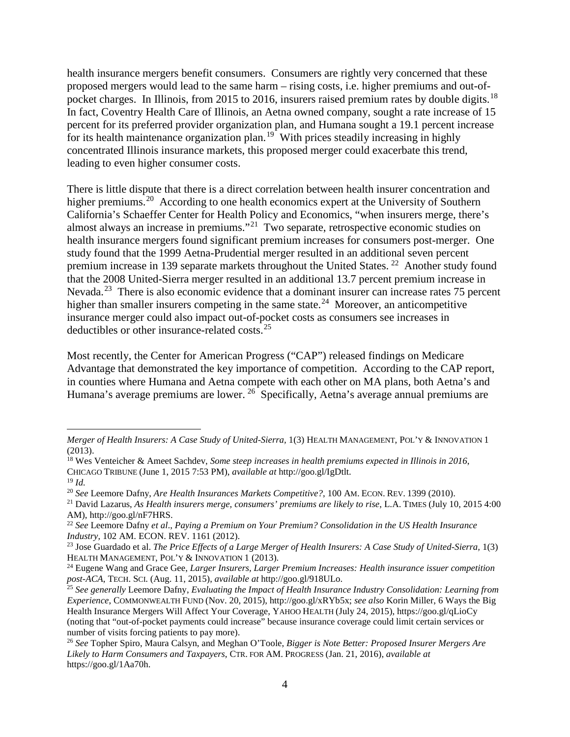health insurance mergers benefit consumers. Consumers are rightly very concerned that these proposed mergers would lead to the same harm – rising costs, i.e. higher premiums and out-ofpocket charges. In Illinois, from 2015 to 2016, insurers raised premium rates by double digits.<sup>18</sup> In fact, Coventry Health Care of Illinois, an Aetna owned company, sought a rate increase of 15 percent for its preferred provider organization plan, and Humana sought a 19.1 percent increase for its health maintenance organization plan.<sup>[19](#page-3-1)</sup> With prices steadily increasing in highly concentrated Illinois insurance markets, this proposed merger could exacerbate this trend, leading to even higher consumer costs.

There is little dispute that there is a direct correlation between health insurer concentration and higher premiums.<sup>[20](#page-3-2)</sup> According to one health economics expert at the University of Southern California's Schaeffer Center for Health Policy and Economics, "when insurers merge, there's almost always an increase in premiums."[21](#page-3-3) Two separate, retrospective economic studies on health insurance mergers found significant premium increases for consumers post-merger. One study found that the 1999 Aetna-Prudential merger resulted in an additional seven percent premium increase in 139 separate markets throughout the United States. [22](#page-3-4) Another study found that the 2008 United-Sierra merger resulted in an additional 13.7 percent premium increase in Nevada.<sup>[23](#page-3-5)</sup> There is also economic evidence that a dominant insurer can increase rates 75 percent higher than smaller insurers competing in the same state.<sup>24</sup> Moreover, an anticompetitive insurance merger could also impact out-of-pocket costs as consumers see increases in deductibles or other insurance-related costs.[25](#page-3-7)

Most recently, the Center for American Progress ("CAP") released findings on Medicare Advantage that demonstrated the key importance of competition. According to the CAP report, in counties where Humana and Aetna compete with each other on MA plans, both Aetna's and Humana's average premiums are lower. <sup>[26](#page-3-8)</sup> Specifically, Aetna's average annual premiums are

 $\overline{a}$ 

*Merger of Health Insurers: A Case Study of United-Sierra,* 1(3) HEALTH MANAGEMENT, POL'Y & INNOVATION 1 (2013).

<span id="page-3-0"></span><sup>18</sup> Wes Venteicher & Ameet Sachdev, *Some steep increases in health premiums expected in Illinois in 2016*, CHICAGO TRIBUNE (June 1, 2015 7:53 PM), *available at* http://goo.gl/IgDtlt.

<span id="page-3-2"></span><span id="page-3-1"></span><sup>&</sup>lt;sup>19</sup> *Id.*<br><sup>20</sup> See Leemore Dafny, Are Health Insurances Markets Competitive?, 100 AM. ECON. REV. 1399 (2010).

<span id="page-3-3"></span><sup>&</sup>lt;sup>21</sup> David Lazarus, As Health insurers merge, consumers' premiums are likely to rise, L.A. TIMES (July 10, 2015 4:00) AM), http://goo.gl/nF7HRS.

<span id="page-3-4"></span><sup>22</sup> *See* Leemore Dafny *et al*., *Paying a Premium on Your Premium? Consolidation in the US Health Insurance Industry,* 102 AM. ECON. REV. 1161 (2012).

<span id="page-3-5"></span><sup>&</sup>lt;sup>23</sup> Jose Guardado et al. *The Price Effects of a Large Merger of Health Insurers: A Case Study of United-Sierra, 1(3)* HEALTH MANAGEMENT, POL'Y & INNOVATION 1 (2013).

<span id="page-3-6"></span><sup>24</sup> Eugene Wang and Grace Gee, *Larger Insurers, Larger Premium Increases: Health insurance issuer competition post-ACA*, TECH. SCI. (Aug. 11, 2015), *available at* http://goo.gl/918ULo.

<span id="page-3-7"></span><sup>25</sup> *See generally* Leemore Dafny, *Evaluating the Impact of Health Insurance Industry Consolidation: Learning from Experience*, COMMONWEALTH FUND (Nov. 20, 2015), http://goo.gl/xRYb5x; *see also* Korin Miller, 6 Ways the Big Health Insurance Mergers Will Affect Your Coverage, YAHOO HEALTH (July 24, 2015), https://goo.gl/qLioCy (noting that "out-of-pocket payments could increase" because insurance coverage could limit certain services or number of visits forcing patients to pay more).

<span id="page-3-8"></span><sup>26</sup> *See* Topher Spiro, Maura Calsyn, and Meghan O'Toole, *Bigger is Note Better: Proposed Insurer Mergers Are Likely to Harm Consumers and Taxpayers*, CTR. FOR AM. PROGRESS (Jan. 21, 2016), *available at*  https://goo.gl/1Aa70h.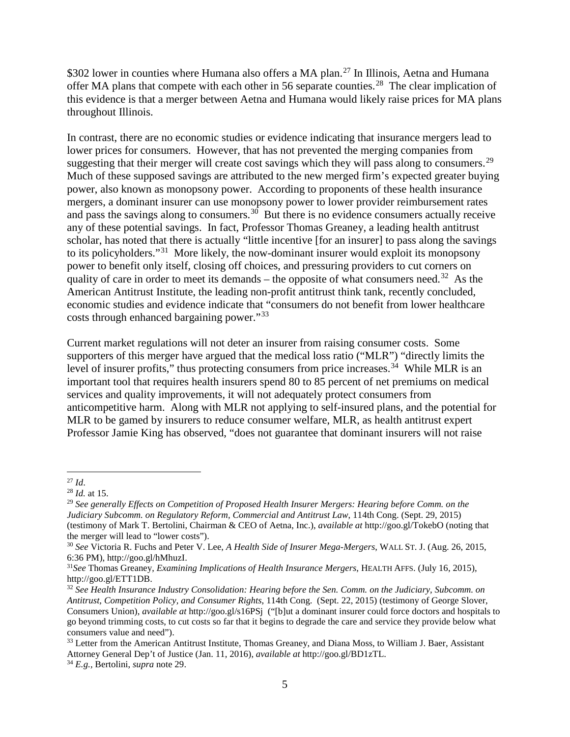\$302 lower in counties where Humana also offers a MA plan.<sup>[27](#page-4-0)</sup> In Illinois, Aetna and Humana offer MA plans that compete with each other in 56 separate counties.<sup>[28](#page-4-1)</sup> The clear implication of this evidence is that a merger between Aetna and Humana would likely raise prices for MA plans throughout Illinois.

In contrast, there are no economic studies or evidence indicating that insurance mergers lead to lower prices for consumers. However, that has not prevented the merging companies from suggesting that their merger will create cost savings which they will pass along to consumers.<sup>[29](#page-4-2)</sup> Much of these supposed savings are attributed to the new merged firm's expected greater buying power, also known as monopsony power. According to proponents of these health insurance mergers, a dominant insurer can use monopsony power to lower provider reimbursement rates and pass the savings along to consumers.<sup>30</sup> But there is no evidence consumers actually receive any of these potential savings. In fact, Professor Thomas Greaney, a leading health antitrust scholar, has noted that there is actually "little incentive [for an insurer] to pass along the savings to its policyholders."[31](#page-4-4) More likely, the now-dominant insurer would exploit its monopsony power to benefit only itself, closing off choices, and pressuring providers to cut corners on quality of care in order to meet its demands – the opposite of what consumers need.<sup>32</sup> As the American Antitrust Institute, the leading non-profit antitrust think tank, recently concluded, economic studies and evidence indicate that "consumers do not benefit from lower healthcare costs through enhanced bargaining power."[33](#page-4-6)

Current market regulations will not deter an insurer from raising consumer costs. Some supporters of this merger have argued that the medical loss ratio ("MLR") "directly limits the level of insurer profits," thus protecting consumers from price increases.<sup>[34](#page-4-7)</sup> While MLR is an important tool that requires health insurers spend 80 to 85 percent of net premiums on medical services and quality improvements, it will not adequately protect consumers from anticompetitive harm. Along with MLR not applying to self-insured plans, and the potential for MLR to be gamed by insurers to reduce consumer welfare, MLR, as health antitrust expert Professor Jamie King has observed, "does not guarantee that dominant insurers will not raise

<span id="page-4-0"></span> <sup>27</sup> *Id*.

<span id="page-4-1"></span><sup>28</sup> *Id.* at 15.

<span id="page-4-2"></span><sup>29</sup> *See generally Effects on Competition of Proposed Health Insurer Mergers: Hearing before Comm. on the Judiciary Subcomm. on Regulatory Reform, Commercial and Antitrust Law*, 114th Cong. (Sept. 29, 2015) (testimony of Mark T. Bertolini, Chairman & CEO of Aetna, Inc.), *available at* http://goo.gl/TokebO (noting that the merger will lead to "lower costs").

<span id="page-4-3"></span><sup>30</sup> *See* Victoria R. Fuchs and Peter V. Lee, *A Health Side of Insurer Mega-Mergers*, WALL ST. J. (Aug. 26, 2015, 6:36 PM), http://goo.gl/hMhuzI.

<span id="page-4-4"></span><sup>31</sup>*See* Thomas Greaney, *Examining Implications of Health Insurance Mergers*, HEALTH AFFS. (July 16, 2015), http://goo.gl/ETT1DB.

<span id="page-4-5"></span><sup>32</sup> *See Health Insurance Industry Consolidation: Hearing before the Sen. Comm. on the Judiciary, Subcomm. on Antitrust, Competition Policy, and Consumer Rights*, 114th Cong. (Sept. 22, 2015) (testimony of George Slover, Consumers Union), *available at* http://goo.gl/s16PSj ("[b]ut a dominant insurer could force doctors and hospitals to go beyond trimming costs, to cut costs so far that it begins to degrade the care and service they provide below what consumers value and need").

<span id="page-4-6"></span><sup>&</sup>lt;sup>33</sup> Letter from the American Antitrust Institute, Thomas Greaney, and Diana Moss, to William J. Baer, Assistant Attorney General Dep't of Justice (Jan. 11, 2016), *available at* http://goo.gl/BD1zTL.

<span id="page-4-7"></span><sup>34</sup> *E.g.,* Bertolini, *supra* note 29.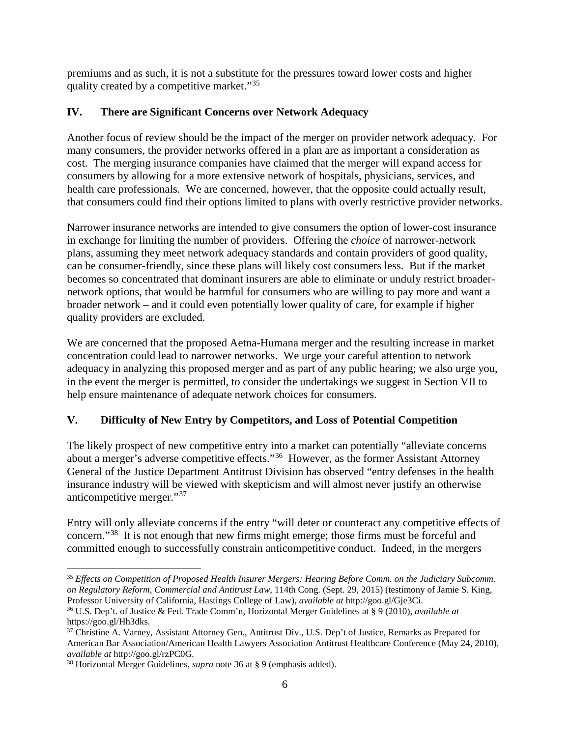premiums and as such, it is not a substitute for the pressures toward lower costs and higher quality created by a competitive market."[35](#page-5-0)

## **IV. There are Significant Concerns over Network Adequacy**

Another focus of review should be the impact of the merger on provider network adequacy. For many consumers, the provider networks offered in a plan are as important a consideration as cost. The merging insurance companies have claimed that the merger will expand access for consumers by allowing for a more extensive network of hospitals, physicians, services, and health care professionals. We are concerned, however, that the opposite could actually result, that consumers could find their options limited to plans with overly restrictive provider networks.

Narrower insurance networks are intended to give consumers the option of lower-cost insurance in exchange for limiting the number of providers. Offering the *choice* of narrower-network plans, assuming they meet network adequacy standards and contain providers of good quality, can be consumer-friendly, since these plans will likely cost consumers less. But if the market becomes so concentrated that dominant insurers are able to eliminate or unduly restrict broadernetwork options, that would be harmful for consumers who are willing to pay more and want a broader network – and it could even potentially lower quality of care, for example if higher quality providers are excluded.

We are concerned that the proposed Aetna-Humana merger and the resulting increase in market concentration could lead to narrower networks. We urge your careful attention to network adequacy in analyzing this proposed merger and as part of any public hearing; we also urge you, in the event the merger is permitted, to consider the undertakings we suggest in Section VII to help ensure maintenance of adequate network choices for consumers.

# **V. Difficulty of New Entry by Competitors, and Loss of Potential Competition**

The likely prospect of new competitive entry into a market can potentially "alleviate concerns about a merger's adverse competitive effects."[36](#page-5-1) However, as the former Assistant Attorney General of the Justice Department Antitrust Division has observed "entry defenses in the health insurance industry will be viewed with skepticism and will almost never justify an otherwise anticompetitive merger."[37](#page-5-2)

Entry will only alleviate concerns if the entry "will deter or counteract any competitive effects of concern."[38](#page-5-3) It is not enough that new firms might emerge; those firms must be forceful and committed enough to successfully constrain anticompetitive conduct. Indeed, in the mergers

<span id="page-5-0"></span> <sup>35</sup> *Effects on Competition of Proposed Health Insurer Mergers: Hearing Before Comm. on the Judiciary Subcomm. on Regulatory Reform, Commercial and Antitrust Law*, 114th Cong. (Sept. 29, 2015) (testimony of Jamie S. King, Professor University of California, Hastings College of Law), *available at* http://goo.gl/Gje3Ci.

<span id="page-5-1"></span><sup>36</sup> U.S. Dep't. of Justice & Fed. Trade Comm'n, Horizontal Merger Guidelines at § 9 (2010), *available at*  https://goo.gl/Hh3dks.<br><sup>37</sup> Christine A. Varney, Assistant Attorney Gen., Antitrust Div., U.S. Dep't of Justice, Remarks as Prepared for

<span id="page-5-2"></span>American Bar Association/American Health Lawyers Association Antitrust Healthcare Conference (May 24, 2010), *available at* http://goo.gl/rzPC0G.<br><sup>38</sup> Horizontal Merger Guidelines, *supra* note 36 at § 9 (emphasis added).

<span id="page-5-3"></span>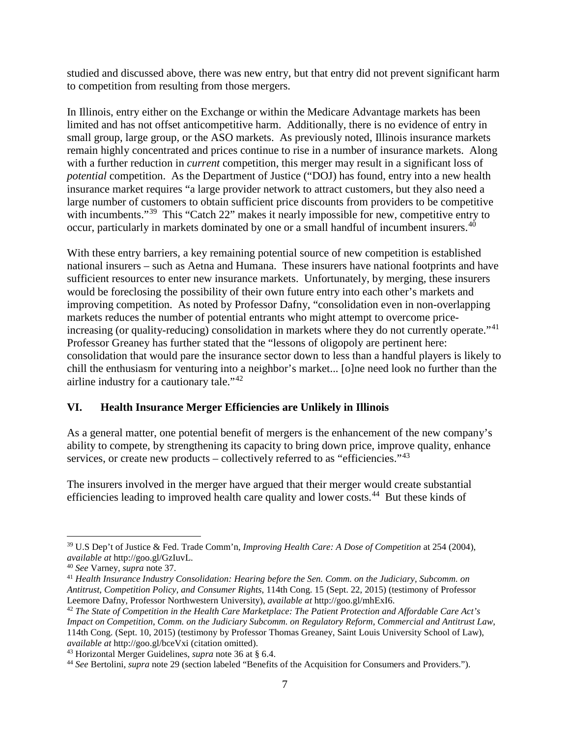studied and discussed above, there was new entry, but that entry did not prevent significant harm to competition from resulting from those mergers.

In Illinois, entry either on the Exchange or within the Medicare Advantage markets has been limited and has not offset anticompetitive harm. Additionally, there is no evidence of entry in small group, large group, or the ASO markets. As previously noted, Illinois insurance markets remain highly concentrated and prices continue to rise in a number of insurance markets. Along with a further reduction in *current* competition, this merger may result in a significant loss of *potential* competition. As the Department of Justice ("DOJ) has found, entry into a new health insurance market requires "a large provider network to attract customers, but they also need a large number of customers to obtain sufficient price discounts from providers to be competitive with incumbents."<sup>[39](#page-6-0)</sup> This "Catch 22" makes it nearly impossible for new, competitive entry to occur, particularly in markets dominated by one or a small handful of incumbent insurers.[40](#page-6-1) 

With these entry barriers, a key remaining potential source of new competition is established national insurers – such as Aetna and Humana. These insurers have national footprints and have sufficient resources to enter new insurance markets. Unfortunately, by merging, these insurers would be foreclosing the possibility of their own future entry into each other's markets and improving competition. As noted by Professor Dafny, "consolidation even in non-overlapping markets reduces the number of potential entrants who might attempt to overcome priceincreasing (or quality-reducing) consolidation in markets where they do not currently operate."<sup>41</sup> Professor Greaney has further stated that the "lessons of oligopoly are pertinent here: consolidation that would pare the insurance sector down to less than a handful players is likely to chill the enthusiasm for venturing into a neighbor's market... [o]ne need look no further than the airline industry for a cautionary tale."[42](#page-6-3)

## **VI. Health Insurance Merger Efficiencies are Unlikely in Illinois**

As a general matter, one potential benefit of mergers is the enhancement of the new company's ability to compete, by strengthening its capacity to bring down price, improve quality, enhance services, or create new products – collectively referred to as "efficiencies." $43$ 

The insurers involved in the merger have argued that their merger would create substantial efficiencies leading to improved health care quality and lower costs.[44](#page-6-5) But these kinds of

<span id="page-6-0"></span> <sup>39</sup> U.S Dep't of Justice & Fed. Trade Comm'n, *Improving Health Care: A Dose of Competition* at 254 (2004),

<span id="page-6-2"></span><span id="page-6-1"></span><sup>&</sup>lt;sup>40</sup> See Varney, *supra* note 37.<br><sup>41</sup> *Health Insurance Industry Consolidation: Hearing before the Sen. Comm. on the Judiciary, Subcomm. on Antitrust, Competition Policy, and Consumer Rights*, 114th Cong. 15 (Sept. 22, 2015) (testimony of Professor

<span id="page-6-3"></span><sup>&</sup>lt;sup>42</sup> The State of Competition in the Health Care Marketplace: The Patient Protection and Affordable Care Act's *Impact on Competition*, *Comm. on the Judiciary Subcomm. on Regulatory Reform, Commercial and Antitrust Law*, 114th Cong. (Sept. 10, 2015) (testimony by Professor Thomas Greaney, Saint Louis University School of Law), *available at* http://goo.gl/bceVxi (citation omitted).

<span id="page-6-4"></span><sup>43</sup> Horizontal Merger Guidelines, *supra* note 36 at § 6.4.

<span id="page-6-5"></span><sup>44</sup> *See* Bertolini, *supra* note 29 (section labeled "Benefits of the Acquisition for Consumers and Providers.").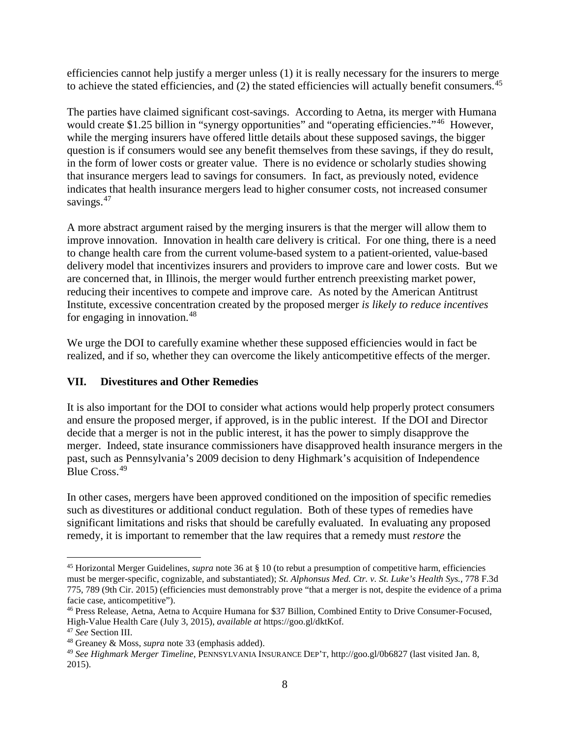efficiencies cannot help justify a merger unless (1) it is really necessary for the insurers to merge to achieve the stated efficiencies, and (2) the stated efficiencies will actually benefit consumers.<sup>[45](#page-7-0)</sup>

The parties have claimed significant cost-savings. According to Aetna, its merger with Humana would create \$1.25 billion in "synergy opportunities" and "operating efficiencies."<sup>46</sup> However, while the merging insurers have offered little details about these supposed savings, the bigger question is if consumers would see any benefit themselves from these savings, if they do result, in the form of lower costs or greater value. There is no evidence or scholarly studies showing that insurance mergers lead to savings for consumers. In fact, as previously noted, evidence indicates that health insurance mergers lead to higher consumer costs, not increased consumer savings.<sup>47</sup>

A more abstract argument raised by the merging insurers is that the merger will allow them to improve innovation. Innovation in health care delivery is critical. For one thing, there is a need to change health care from the current volume-based system to a patient-oriented, value-based delivery model that incentivizes insurers and providers to improve care and lower costs. But we are concerned that, in Illinois, the merger would further entrench preexisting market power, reducing their incentives to compete and improve care. As noted by the American Antitrust Institute, excessive concentration created by the proposed merger *is likely to reduce incentives* for engaging in innovation.[48](#page-7-3)

We urge the DOI to carefully examine whether these supposed efficiencies would in fact be realized, and if so, whether they can overcome the likely anticompetitive effects of the merger.

## **VII. Divestitures and Other Remedies**

It is also important for the DOI to consider what actions would help properly protect consumers and ensure the proposed merger, if approved, is in the public interest. If the DOI and Director decide that a merger is not in the public interest, it has the power to simply disapprove the merger. Indeed, state insurance commissioners have disapproved health insurance mergers in the past, such as Pennsylvania's 2009 decision to deny Highmark's acquisition of Independence Blue Cross.[49](#page-7-4)

In other cases, mergers have been approved conditioned on the imposition of specific remedies such as divestitures or additional conduct regulation. Both of these types of remedies have significant limitations and risks that should be carefully evaluated. In evaluating any proposed remedy, it is important to remember that the law requires that a remedy must *restore* the

<span id="page-7-0"></span> <sup>45</sup> Horizontal Merger Guidelines, *supra* note 36 at § 10 (to rebut a presumption of competitive harm, efficiencies must be merger-specific, cognizable, and substantiated); *St. Alphonsus Med. Ctr. v. St. Luke's Health Sys.*, 778 F.3d 775, 789 (9th Cir. 2015) (efficiencies must demonstrably prove "that a merger is not, despite the evidence of a prima facie case, anticompetitive").

<span id="page-7-1"></span><sup>46</sup> Press Release, Aetna, Aetna to Acquire Humana for \$37 Billion, Combined Entity to Drive Consumer-Focused, High-Value Health Care (July 3, 2015), *available at* https://goo.gl/dktKof.

<span id="page-7-2"></span>

<span id="page-7-3"></span><sup>&</sup>lt;sup>48</sup> Greaney & Moss, *supra* note 33 (emphasis added).

<span id="page-7-4"></span><sup>49</sup> *See Highmark Merger Timeline*, PENNSYLVANIA INSURANCE DEP'T, http://goo.gl/0b6827 (last visited Jan. 8, 2015).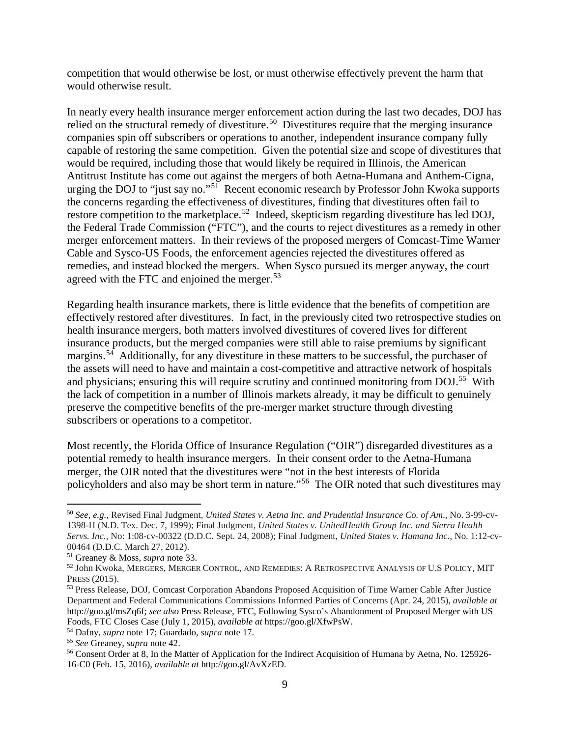competition that would otherwise be lost, or must otherwise effectively prevent the harm that would otherwise result.

In nearly every health insurance merger enforcement action during the last two decades, DOJ has relied on the structural remedy of divestiture.<sup>50</sup> Divestitures require that the merging insurance companies spin off subscribers or operations to another, independent insurance company fully capable of restoring the same competition. Given the potential size and scope of divestitures that would be required, including those that would likely be required in Illinois, the American Antitrust Institute has come out against the mergers of both Aetna-Humana and Anthem-Cigna, urging the DOJ to "just say no."<sup>51</sup> Recent economic research by Professor John Kwoka supports the concerns regarding the effectiveness of divestitures, finding that divestitures often fail to restore competition to the marketplace.<sup>[52](#page-8-2)</sup> Indeed, skepticism regarding divestiture has led DOJ, the Federal Trade Commission ("FTC"), and the courts to reject divestitures as a remedy in other merger enforcement matters. In their reviews of the proposed mergers of Comcast-Time Warner Cable and Sysco-US Foods, the enforcement agencies rejected the divestitures offered as remedies, and instead blocked the mergers. When Sysco pursued its merger anyway, the court agreed with the FTC and enjoined the merger.<sup>53</sup>

Regarding health insurance markets, there is little evidence that the benefits of competition are effectively restored after divestitures. In fact, in the previously cited two retrospective studies on health insurance mergers, both matters involved divestitures of covered lives for different insurance products, but the merged companies were still able to raise premiums by significant margins.<sup>[54](#page-8-4)</sup> Additionally, for any divestiture in these matters to be successful, the purchaser of the assets will need to have and maintain a cost-competitive and attractive network of hospitals and physicians; ensuring this will require scrutiny and continued monitoring from DOJ.<sup>[55](#page-8-5)</sup> With the lack of competition in a number of Illinois markets already, it may be difficult to genuinely preserve the competitive benefits of the pre-merger market structure through divesting subscribers or operations to a competitor.

Most recently, the Florida Office of Insurance Regulation ("OIR") disregarded divestitures as a potential remedy to health insurance mergers. In their consent order to the Aetna-Humana merger, the OIR noted that the divestitures were "not in the best interests of Florida policyholders and also may be short term in nature."[56](#page-8-6) The OIR noted that such divestitures may

<span id="page-8-0"></span> <sup>50</sup> *See, e.g.,* Revised Final Judgment, *United States v. Aetna Inc. and Prudential Insurance Co. of Am*., No. 3-99-cv-1398-H (N.D. Tex. Dec. 7, 1999); Final Judgment, *United States v. UnitedHealth Group Inc. and Sierra Health Servs. Inc.*, No: 1:08-cv-00322 (D.D.C. Sept. 24, 2008); Final Judgment, *United States v. Humana Inc.*, No. 1:12-cv-00464 (D.D.C. March 27, 2012).<br><sup>51</sup> Greaney & Moss, *supra* note 33.

<span id="page-8-1"></span>

<span id="page-8-2"></span><sup>&</sup>lt;sup>52</sup> John Kwoka, MERGERS, MERGER CONTROL, AND REMEDIES: A RETROSPECTIVE ANALYSIS OF U.S POLICY, MIT PRESS (2015).<br><sup>53</sup> Press Release, DOJ, Comcast Corporation Abandons Proposed Acquisition of Time Warner Cable After Justice

<span id="page-8-3"></span>Department and Federal Communications Commissions Informed Parties of Concerns (Apr. 24, 2015), *available at*  http://goo.gl/msZq6f; *see also* Press Release, FTC, Following Sysco's Abandonment of Proposed Merger with US Foods, FTC Closes Case (July 1, 2015), *available at* https://goo.gl/XfwPsW. 54 Dafny, *supra* note 17; Guardado, *supra* note 17.

<span id="page-8-4"></span>

<span id="page-8-5"></span><sup>55</sup> *See* Greaney, *supra* note 42.

<span id="page-8-6"></span><sup>&</sup>lt;sup>56</sup> Consent Order at 8, In the Matter of Application for the Indirect Acquisition of Humana by Aetna, No. 125926-16-C0 (Feb. 15, 2016), *available at* http://goo.gl/AvXzED.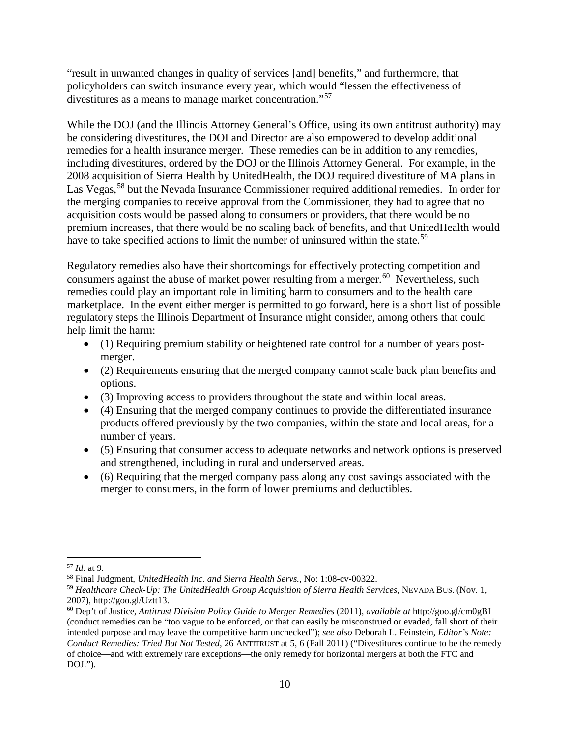"result in unwanted changes in quality of services [and] benefits," and furthermore, that policyholders can switch insurance every year, which would "lessen the effectiveness of divestitures as a means to manage market concentration."[57](#page-9-0)

While the DOJ (and the Illinois Attorney General's Office, using its own antitrust authority) may be considering divestitures, the DOI and Director are also empowered to develop additional remedies for a health insurance merger. These remedies can be in addition to any remedies, including divestitures, ordered by the DOJ or the Illinois Attorney General. For example, in the 2008 acquisition of Sierra Health by UnitedHealth, the DOJ required divestiture of MA plans in Las Vegas,<sup>[58](#page-9-1)</sup> but the Nevada Insurance Commissioner required additional remedies. In order for the merging companies to receive approval from the Commissioner, they had to agree that no acquisition costs would be passed along to consumers or providers, that there would be no premium increases, that there would be no scaling back of benefits, and that UnitedHealth would have to take specified actions to limit the number of uninsured within the state.<sup>[59](#page-9-2)</sup>

Regulatory remedies also have their shortcomings for effectively protecting competition and consumers against the abuse of market power resulting from a merger.<sup>[60](#page-9-3)</sup> Nevertheless, such remedies could play an important role in limiting harm to consumers and to the health care marketplace. In the event either merger is permitted to go forward, here is a short list of possible regulatory steps the Illinois Department of Insurance might consider, among others that could help limit the harm:

- (1) Requiring premium stability or heightened rate control for a number of years postmerger.
- (2) Requirements ensuring that the merged company cannot scale back plan benefits and options.
- (3) Improving access to providers throughout the state and within local areas.
- (4) Ensuring that the merged company continues to provide the differentiated insurance products offered previously by the two companies, within the state and local areas, for a number of years.
- (5) Ensuring that consumer access to adequate networks and network options is preserved and strengthened, including in rural and underserved areas.
- (6) Requiring that the merged company pass along any cost savings associated with the merger to consumers, in the form of lower premiums and deductibles.

<span id="page-9-0"></span><sup>57</sup> *Id.* at 9. 58 Final Judgment, *UnitedHealth Inc. and Sierra Health Servs.*, No: 1:08-cv-00322.

<span id="page-9-2"></span><span id="page-9-1"></span><sup>59</sup> *Healthcare Check-Up: The UnitedHealth Group Acquisition of Sierra Health Services*, NEVADA BUS. (Nov. 1, 2007), http://goo.gl/Uztt13.

<span id="page-9-3"></span><sup>60</sup> Dep't of Justice, *Antitrust Division Policy Guide to Merger Remedies* (2011), *available at* http://goo.gl/cm0gBI (conduct remedies can be "too vague to be enforced, or that can easily be misconstrued or evaded, fall short of their intended purpose and may leave the competitive harm unchecked"); *see also* Deborah L. Feinstein, *Editor's Note: Conduct Remedies: Tried But Not Tested*, 26 ANTITRUST at 5, 6 (Fall 2011) ("Divestitures continue to be the remedy of choice—and with extremely rare exceptions—the only remedy for horizontal mergers at both the FTC and DOJ.").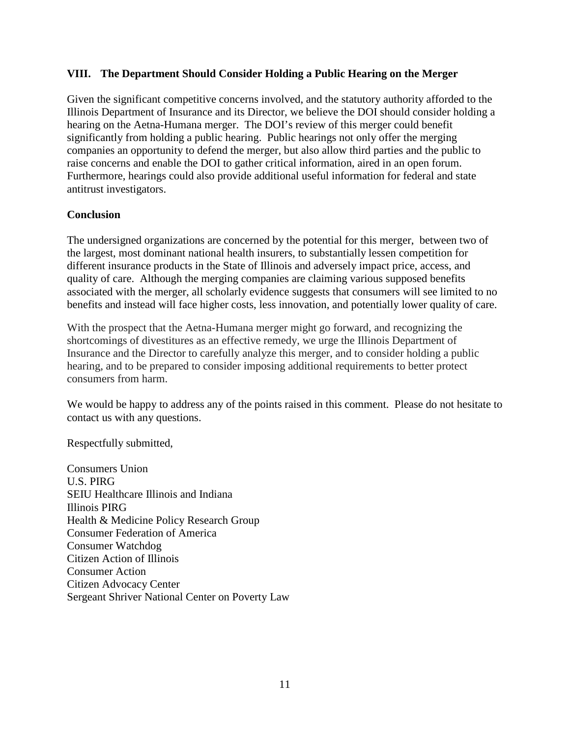#### **VIII. The Department Should Consider Holding a Public Hearing on the Merger**

Given the significant competitive concerns involved, and the statutory authority afforded to the Illinois Department of Insurance and its Director, we believe the DOI should consider holding a hearing on the Aetna-Humana merger. The DOI's review of this merger could benefit significantly from holding a public hearing. Public hearings not only offer the merging companies an opportunity to defend the merger, but also allow third parties and the public to raise concerns and enable the DOI to gather critical information, aired in an open forum. Furthermore, hearings could also provide additional useful information for federal and state antitrust investigators.

### **Conclusion**

The undersigned organizations are concerned by the potential for this merger, between two of the largest, most dominant national health insurers, to substantially lessen competition for different insurance products in the State of Illinois and adversely impact price, access, and quality of care. Although the merging companies are claiming various supposed benefits associated with the merger, all scholarly evidence suggests that consumers will see limited to no benefits and instead will face higher costs, less innovation, and potentially lower quality of care.

With the prospect that the Aetna-Humana merger might go forward, and recognizing the shortcomings of divestitures as an effective remedy, we urge the Illinois Department of Insurance and the Director to carefully analyze this merger, and to consider holding a public hearing, and to be prepared to consider imposing additional requirements to better protect consumers from harm.

We would be happy to address any of the points raised in this comment. Please do not hesitate to contact us with any questions.

Respectfully submitted,

Consumers Union U.S. PIRG SEIU Healthcare Illinois and Indiana Illinois PIRG Health & Medicine Policy Research Group Consumer Federation of America Consumer Watchdog Citizen Action of Illinois Consumer Action Citizen Advocacy Center Sergeant Shriver National Center on Poverty Law